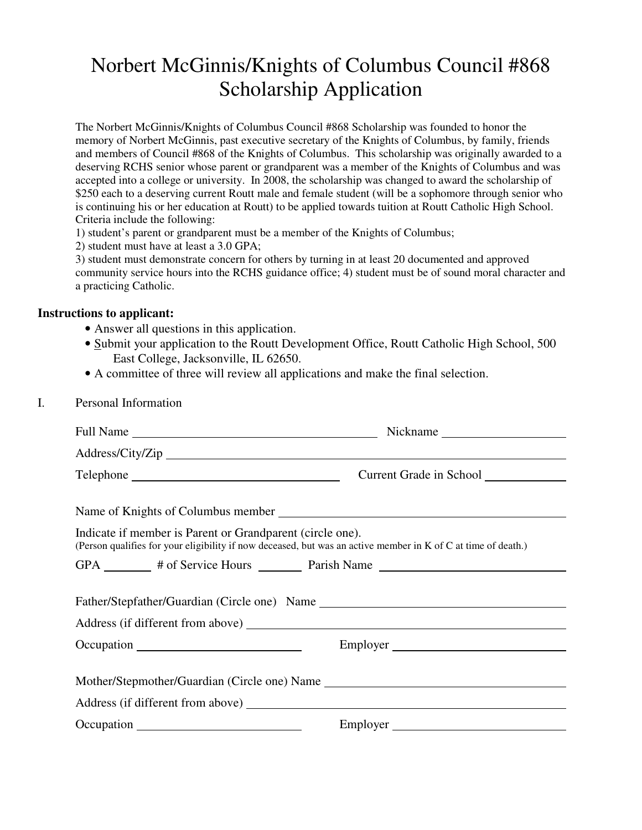## Norbert McGinnis/Knights of Columbus Council #868 Scholarship Application

The Norbert McGinnis/Knights of Columbus Council #868 Scholarship was founded to honor the memory of Norbert McGinnis, past executive secretary of the Knights of Columbus, by family, friends and members of Council #868 of the Knights of Columbus. This scholarship was originally awarded to a deserving RCHS senior whose parent or grandparent was a member of the Knights of Columbus and was accepted into a college or university. In 2008, the scholarship was changed to award the scholarship of \$250 each to a deserving current Routt male and female student (will be a sophomore through senior who is continuing his or her education at Routt) to be applied towards tuition at Routt Catholic High School. Criteria include the following:

1) student's parent or grandparent must be a member of the Knights of Columbus;

2) student must have at least a 3.0 GPA;

3) student must demonstrate concern for others by turning in at least 20 documented and approved community service hours into the RCHS guidance office; 4) student must be of sound moral character and a practicing Catholic.

## **Instructions to applicant:**

- Answer all questions in this application.
- Submit your application to the Routt Development Office, Routt Catholic High School, 500 East College, Jacksonville, IL 62650.
- A committee of three will review all applications and make the final selection.
- I. Personal Information

|                                                                                                                                                                                                                                | Nickname                |
|--------------------------------------------------------------------------------------------------------------------------------------------------------------------------------------------------------------------------------|-------------------------|
|                                                                                                                                                                                                                                |                         |
|                                                                                                                                                                                                                                | Current Grade in School |
|                                                                                                                                                                                                                                |                         |
|                                                                                                                                                                                                                                |                         |
| Indicate if member is Parent or Grandparent (circle one).<br>(Person qualifies for your eligibility if now deceased, but was an active member in K of C at time of death.)                                                     |                         |
| GPA _________ # of Service Hours _________ Parish Name _________________________                                                                                                                                               |                         |
|                                                                                                                                                                                                                                |                         |
| Father/Stepfather/Guardian (Circle one) Name ___________________________________                                                                                                                                               |                         |
|                                                                                                                                                                                                                                |                         |
|                                                                                                                                                                                                                                |                         |
|                                                                                                                                                                                                                                |                         |
|                                                                                                                                                                                                                                |                         |
| Address (if different from above)                                                                                                                                                                                              |                         |
| Occupation example and the contract of the contract of the contract of the contract of the contract of the contract of the contract of the contract of the contract of the contract of the contract of the contract of the con |                         |